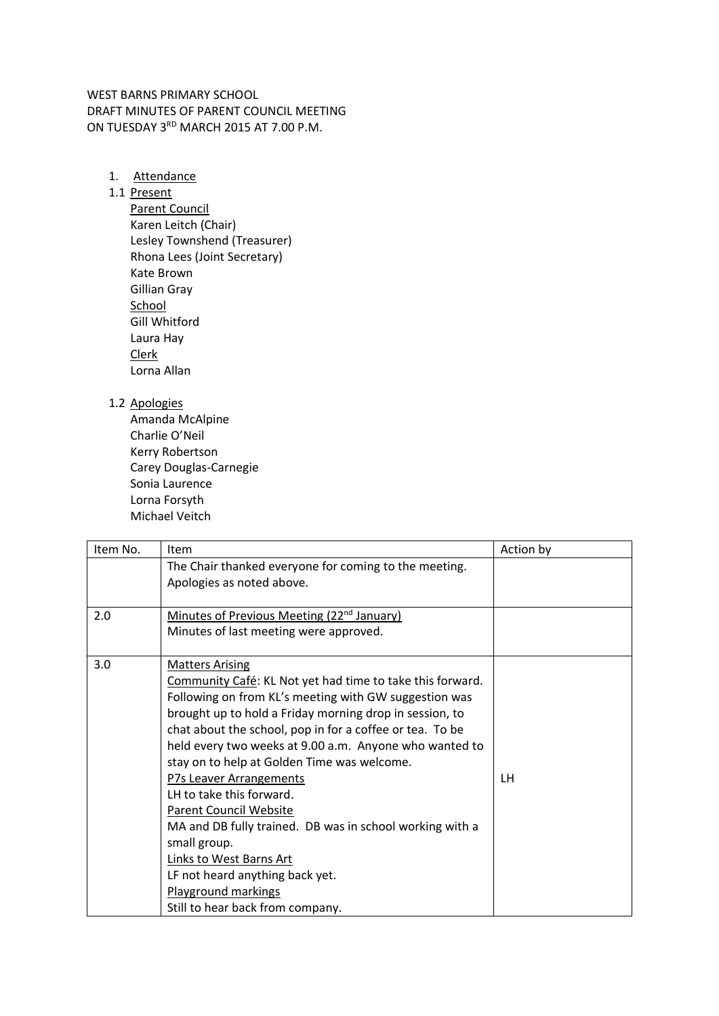WEST BARNS PRIMARY SCHOOL DRAFT MINUTES OF PARENT COUNCIL MEETING ON TUESDAY 3RD MARCH 2015 AT 7.00 P.M.

1. Attendance

## 1.1 Present

Parent Council Karen Leitch (Chair) Lesley Townshend (Treasurer) Rhona Lees (Joint Secretary) Kate Brown Gillian Gray **School** Gill Whitford Laura Hay Clerk Lorna Allan

## 1.2 Apologies

Amanda McAlpine Charlie O'Neil Kerry Robertson Carey Douglas-Carnegie Sonia Laurence Lorna Forsyth Michael Veitch

| Item No. | Item                                                      | Action by |
|----------|-----------------------------------------------------------|-----------|
|          | The Chair thanked everyone for coming to the meeting.     |           |
|          | Apologies as noted above.                                 |           |
|          |                                                           |           |
| 2.0      | Minutes of Previous Meeting (22 <sup>nd</sup> January)    |           |
|          | Minutes of last meeting were approved.                    |           |
|          |                                                           |           |
| 3.0      | <b>Matters Arising</b>                                    |           |
|          | Community Café: KL Not yet had time to take this forward. |           |
|          | Following on from KL's meeting with GW suggestion was     |           |
|          | brought up to hold a Friday morning drop in session, to   |           |
|          | chat about the school, pop in for a coffee or tea. To be  |           |
|          | held every two weeks at 9.00 a.m. Anyone who wanted to    |           |
|          | stay on to help at Golden Time was welcome.               |           |
|          | P7s Leaver Arrangements                                   | LH.       |
|          | LH to take this forward.                                  |           |
|          | <b>Parent Council Website</b>                             |           |
|          | MA and DB fully trained. DB was in school working with a  |           |
|          | small group.                                              |           |
|          | Links to West Barns Art                                   |           |
|          | LF not heard anything back yet.                           |           |
|          | Playground markings                                       |           |
|          | Still to hear back from company.                          |           |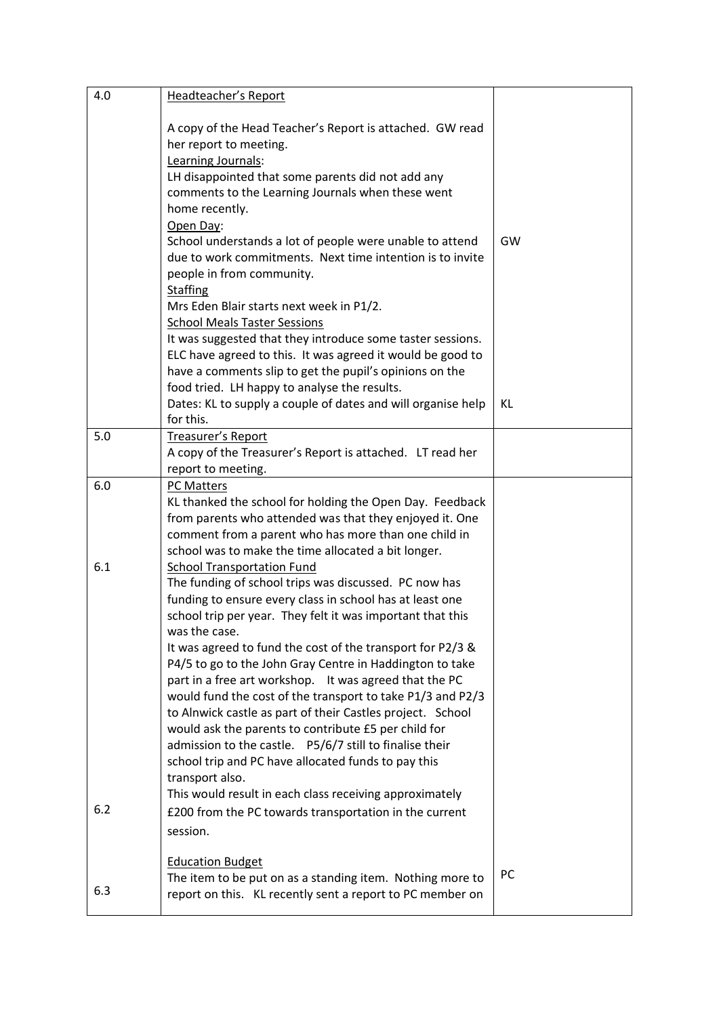| 4.0 | Headteacher's Report                                                                                                                                                                                                                                                                                                                                                                                                                                                                                                                                                                                                                                                                                                            |    |
|-----|---------------------------------------------------------------------------------------------------------------------------------------------------------------------------------------------------------------------------------------------------------------------------------------------------------------------------------------------------------------------------------------------------------------------------------------------------------------------------------------------------------------------------------------------------------------------------------------------------------------------------------------------------------------------------------------------------------------------------------|----|
|     | A copy of the Head Teacher's Report is attached. GW read<br>her report to meeting.<br>Learning Journals:<br>LH disappointed that some parents did not add any<br>comments to the Learning Journals when these went<br>home recently.<br>Open Day:<br>School understands a lot of people were unable to attend<br>due to work commitments. Next time intention is to invite<br>people in from community.<br><b>Staffing</b>                                                                                                                                                                                                                                                                                                      | GW |
|     | Mrs Eden Blair starts next week in P1/2.<br><b>School Meals Taster Sessions</b><br>It was suggested that they introduce some taster sessions.<br>ELC have agreed to this. It was agreed it would be good to<br>have a comments slip to get the pupil's opinions on the                                                                                                                                                                                                                                                                                                                                                                                                                                                          |    |
|     | food tried. LH happy to analyse the results.<br>Dates: KL to supply a couple of dates and will organise help<br>for this.                                                                                                                                                                                                                                                                                                                                                                                                                                                                                                                                                                                                       | KL |
| 5.0 | <b>Treasurer's Report</b><br>A copy of the Treasurer's Report is attached. LT read her<br>report to meeting.                                                                                                                                                                                                                                                                                                                                                                                                                                                                                                                                                                                                                    |    |
| 6.0 | PC Matters<br>KL thanked the school for holding the Open Day. Feedback<br>from parents who attended was that they enjoyed it. One<br>comment from a parent who has more than one child in<br>school was to make the time allocated a bit longer.                                                                                                                                                                                                                                                                                                                                                                                                                                                                                |    |
| 6.1 | <b>School Transportation Fund</b><br>The funding of school trips was discussed. PC now has<br>funding to ensure every class in school has at least one<br>school trip per year. They felt it was important that this<br>was the case.<br>It was agreed to fund the cost of the transport for P2/3 &<br>P4/5 to go to the John Gray Centre in Haddington to take<br>part in a free art workshop. It was agreed that the PC<br>would fund the cost of the transport to take P1/3 and P2/3<br>to Alnwick castle as part of their Castles project. School<br>would ask the parents to contribute £5 per child for<br>admission to the castle. P5/6/7 still to finalise their<br>school trip and PC have allocated funds to pay this |    |
| 6.2 | transport also.<br>This would result in each class receiving approximately<br>£200 from the PC towards transportation in the current<br>session.                                                                                                                                                                                                                                                                                                                                                                                                                                                                                                                                                                                |    |
| 6.3 | <b>Education Budget</b><br>The item to be put on as a standing item. Nothing more to<br>report on this. KL recently sent a report to PC member on                                                                                                                                                                                                                                                                                                                                                                                                                                                                                                                                                                               | PC |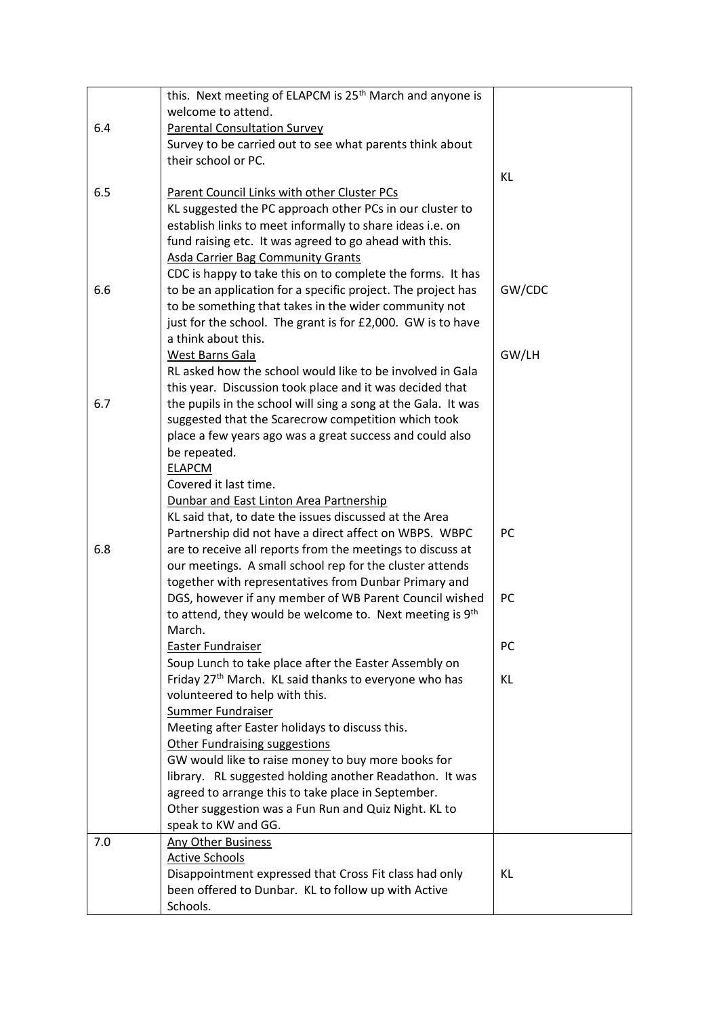|     | this. Next meeting of ELAPCM is 25 <sup>th</sup> March and anyone is |           |
|-----|----------------------------------------------------------------------|-----------|
|     | welcome to attend.                                                   |           |
| 6.4 | <b>Parental Consultation Survey</b>                                  |           |
|     | Survey to be carried out to see what parents think about             |           |
|     | their school or PC.                                                  |           |
|     |                                                                      | KL        |
| 6.5 | Parent Council Links with other Cluster PCs                          |           |
|     | KL suggested the PC approach other PCs in our cluster to             |           |
|     | establish links to meet informally to share ideas i.e. on            |           |
|     | fund raising etc. It was agreed to go ahead with this.               |           |
|     | <b>Asda Carrier Bag Community Grants</b>                             |           |
|     | CDC is happy to take this on to complete the forms. It has           |           |
| 6.6 | to be an application for a specific project. The project has         | GW/CDC    |
|     | to be something that takes in the wider community not                |           |
|     | just for the school. The grant is for £2,000. GW is to have          |           |
|     | a think about this.                                                  |           |
|     | West Barns Gala                                                      | GW/LH     |
|     | RL asked how the school would like to be involved in Gala            |           |
|     | this year. Discussion took place and it was decided that             |           |
| 6.7 | the pupils in the school will sing a song at the Gala. It was        |           |
|     | suggested that the Scarecrow competition which took                  |           |
|     | place a few years ago was a great success and could also             |           |
|     | be repeated.                                                         |           |
|     | <b>ELAPCM</b>                                                        |           |
|     | Covered it last time.                                                |           |
|     | Dunbar and East Linton Area Partnership                              |           |
|     | KL said that, to date the issues discussed at the Area               |           |
|     | Partnership did not have a direct affect on WBPS. WBPC               | <b>PC</b> |
| 6.8 | are to receive all reports from the meetings to discuss at           |           |
|     | our meetings. A small school rep for the cluster attends             |           |
|     | together with representatives from Dunbar Primary and                |           |
|     | DGS, however if any member of WB Parent Council wished               | PC        |
|     | to attend, they would be welcome to. Next meeting is 9th             |           |
|     | March.                                                               |           |
|     | <b>Easter Fundraiser</b>                                             | <b>PC</b> |
|     | Soup Lunch to take place after the Easter Assembly on                |           |
|     | Friday 27 <sup>th</sup> March. KL said thanks to everyone who has    | KL        |
|     | volunteered to help with this.                                       |           |
|     | Summer Fundraiser                                                    |           |
|     | Meeting after Easter holidays to discuss this.                       |           |
|     | <b>Other Fundraising suggestions</b>                                 |           |
|     | GW would like to raise money to buy more books for                   |           |
|     | library. RL suggested holding another Readathon. It was              |           |
|     | agreed to arrange this to take place in September.                   |           |
|     | Other suggestion was a Fun Run and Quiz Night. KL to                 |           |
|     | speak to KW and GG.                                                  |           |
| 7.0 | <b>Any Other Business</b>                                            |           |
|     | <b>Active Schools</b>                                                |           |
|     | Disappointment expressed that Cross Fit class had only               | KL        |
|     | been offered to Dunbar. KL to follow up with Active                  |           |
|     | Schools.                                                             |           |